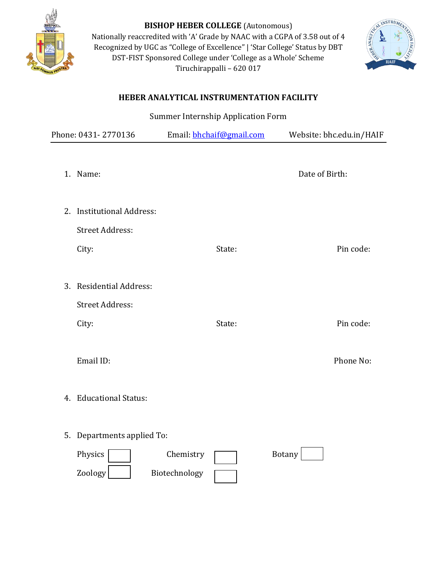

**BISHOP HEBER COLLEGE** (Autonomous) Nationally reaccredited with 'A' Grade by NAAC with a CGPA of 3.58 out of 4 Recognized by UGC as "College of Excellence" | 'Star College' Status by DBT DST-FIST Sponsored College under 'College as a Whole' Scheme Tiruchirappalli – 620 017



## **HEBER ANALYTICAL INSTRUMENTATION FACILITY**

Summer Internship Application Form

| Phone: 0431-2770136                                                  | Email: bhchaif@gmail.com   | Website: bhc.edu.in/HAIF |
|----------------------------------------------------------------------|----------------------------|--------------------------|
| 1. Name:                                                             |                            | Date of Birth:           |
| <b>Institutional Address:</b><br>2.<br><b>Street Address:</b>        |                            |                          |
| City:                                                                | State:                     | Pin code:                |
| <b>Residential Address:</b><br>3.<br><b>Street Address:</b><br>City: | State:                     | Pin code:                |
| Email ID:                                                            |                            | Phone No:                |
| 4. Educational Status:                                               |                            |                          |
| Departments applied To:<br>5.<br>Physics<br>Zoology                  | Chemistry<br>Biotechnology | <b>Botany</b>            |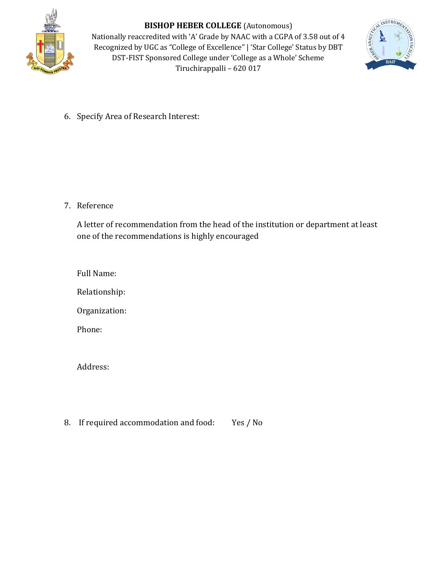

**BISHOP HEBER COLLEGE** (Autonomous) Nationally reaccredited with 'A' Grade by NAAC with a CGPA of 3.58 out of 4 Recognized by UGC as "College of Excellence" | 'Star College' Status by DBT DST-FIST Sponsored College under 'College as a Whole' Scheme Tiruchirappalli – 620 017



6. Specify Area of Research Interest:

7. Reference

A letter of recommendation from the head of the institution or department at least one of the recommendations is highly encouraged

Full Name:

Relationship:

Organization:

Phone:

Address:

8. If required accommodation and food: Yes / No